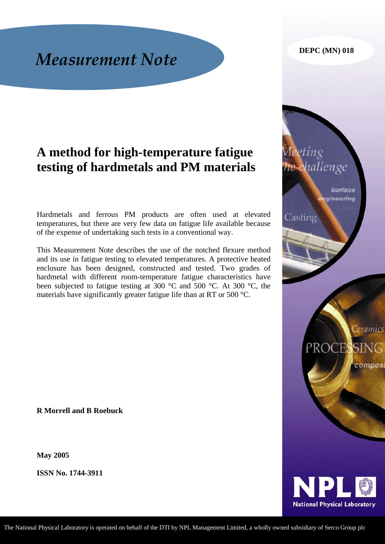#### **DEPC (MN) 018**

*Aeeting* 

Casting

challenge

**Surface** gineering

**Ceramics** 

compos

PROCESSING

**National Physical Laboratory** 

# *Measurement Note*

# **A method for high-temperature fatigue testing of hardmetals and PM materials**

Hardmetals and ferrous PM products are often used at elevated temperatures, but there are very few data on fatigue life available because of the expense of undertaking such tests in a conventional way.

This Measurement Note describes the use of the notched flexure method and its use in fatigue testing to elevated temperatures. A protective heated enclosure has been designed, constructed and tested. Two grades of hardmetal with different room-temperature fatigue characteristics have been subjected to fatigue testing at 300 °C and 500 °C. At 300 °C, the materials have significantly greater fatigue life than at RT or 500 °C.

**R Morrell and B Roebuck** 

**May 2005** 

**ISSN No. 1744-3911** 

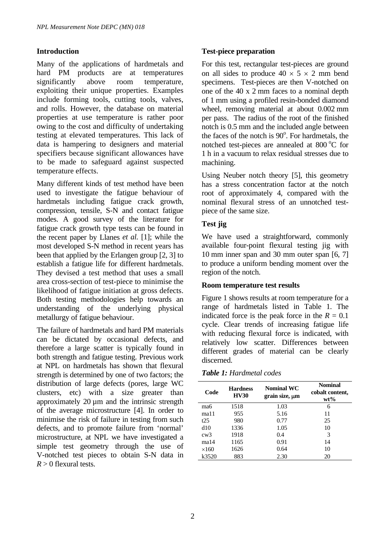# **Introduction**

Many of the applications of hardmetals and hard PM products are at temperatures significantly above room temperature, exploiting their unique properties. Examples include forming tools, cutting tools, valves, and rolls. However, the database on material properties at use temperature is rather poor owing to the cost and difficulty of undertaking testing at elevated temperatures. This lack of data is hampering to designers and material specifiers because significant allowances have to be made to safeguard against suspected temperature effects.

Many different kinds of test method have been used to investigate the fatigue behaviour of hardmetals including fatigue crack growth, compression, tensile, S-N and contact fatigue modes. A good survey of the literature for fatigue crack growth type tests can be found in the recent paper by Llanes *et al.* [1]; while the most developed S-N method in recent years has been that applied by the Erlangen group [2, 3] to establish a fatigue life for different hardmetals. They devised a test method that uses a small area cross-section of test-piece to minimise the likelihood of fatigue initiation at gross defects. Both testing methodologies help towards an understanding of the underlying physical metallurgy of fatigue behaviour.

The failure of hardmetals and hard PM materials can be dictated by occasional defects, and therefore a large scatter is typically found in both strength and fatigue testing. Previous work at NPL on hardmetals has shown that flexural strength is determined by one of two factors; the distribution of large defects (pores, large WC clusters, etc) with a size greater than approximately 20 µm and the intrinsic strength of the average microstructure [4]. In order to minimise the risk of failure in testing from such defects, and to promote failure from 'normal' microstructure, at NPL we have investigated a simple test geometry through the use of V-notched test pieces to obtain S-N data in  $R > 0$  flexural tests.

# **Test-piece preparation**

For this test, rectangular test-pieces are ground on all sides to produce  $40 \times 5 \times 2$  mm bend specimens. Test-pieces are then V-notched on one of the 40 x 2 mm faces to a nominal depth of 1 mm using a profiled resin-bonded diamond wheel, removing material at about 0.002 mm per pass. The radius of the root of the finished notch is 0.5 mm and the included angle between the faces of the notch is 90°. For hardmetals, the notched test-pieces are annealed at  $800\,^{\circ}\text{C}$  for 1 h in a vacuum to relax residual stresses due to machining.

Using Neuber notch theory [5], this geometry has a stress concentration factor at the notch root of approximately 4, compared with the nominal flexural stress of an unnotched testpiece of the same size.

# **Test jig**

We have used a straightforward, commonly available four-point flexural testing jig with 10 mm inner span and 30 mm outer span [6, 7] to produce a uniform bending moment over the region of the notch.

### **Room temperature test results**

Figure 1 shows results at room temperature for a range of hardmetals listed in Table 1. The indicated force is the peak force in the  $R = 0.1$ cycle. Clear trends of increasing fatigue life with reducing flexural force is indicated, with relatively low scatter. Differences between different grades of material can be clearly discerned.

*Table 1: Hardmetal codes*

| Code         | <b>Hardness</b><br><b>HV30</b> | <b>Nominal WC</b><br>grain size, µm | <b>Nominal</b><br>cobalt content.<br>$wt\%$ |
|--------------|--------------------------------|-------------------------------------|---------------------------------------------|
| ma6          | 1518                           | 1.03                                | 6                                           |
| ma11         | 955                            | 5.16                                | 11                                          |
| t25          | 980                            | 0.77                                | 25                                          |
| d10          | 1336                           | 1.05                                | 10                                          |
| cw3          | 1918                           | 0.4                                 | 3                                           |
| ma14         | 1165                           | 0.91                                | 14                                          |
| $\times$ 160 | 1626                           | 0.64                                | 10                                          |
| k3520        | 883                            | 2.30                                | 20                                          |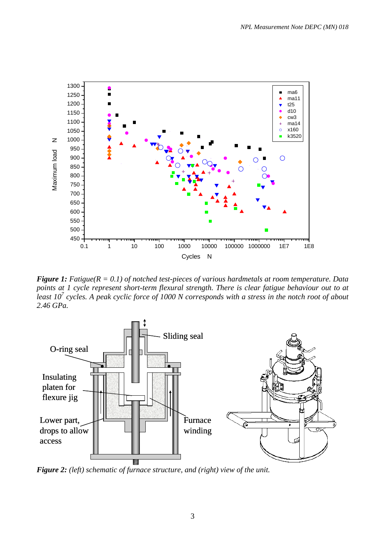

*Figure 1: Fatigue(R = 0.1) of notched test-pieces of various hardmetals at room temperature. Data points at 1 cycle represent short-term flexural strength. There is clear fatigue behaviour out to at least 107 cycles. A peak cyclic force of 1000 N corresponds with a stress in the notch root of about 2.46 GPa.* 



*Figure 2: (left) schematic of furnace structure, and (right) view of the unit.*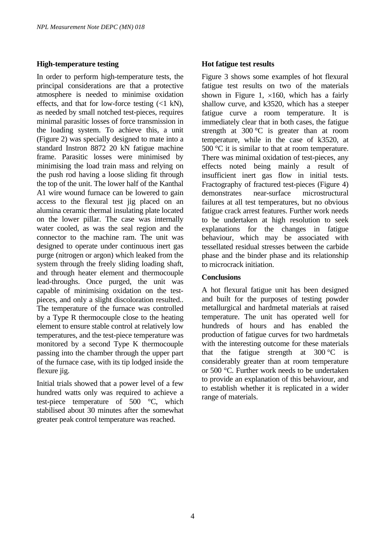# **High-temperature testing**

In order to perform high-temperature tests, the principal considerations are that a protective atmosphere is needed to minimise oxidation effects, and that for low-force testing  $\ll 1$  kN). as needed by small notched test-pieces, requires minimal parasitic losses of force transmission in the loading system. To achieve this, a unit (Figure 2) was specially designed to mate into a standard Instron 8872 20 kN fatigue machine frame. Parasitic losses were minimised by minimising the load train mass and relying on the push rod having a loose sliding fit through the top of the unit. The lower half of the Kanthal A1 wire wound furnace can be lowered to gain access to the flexural test jig placed on an alumina ceramic thermal insulating plate located on the lower pillar. The case was internally water cooled, as was the seal region and the connector to the machine ram. The unit was designed to operate under continuous inert gas purge (nitrogen or argon) which leaked from the system through the freely sliding loading shaft, and through heater element and thermocouple lead-throughs. Once purged, the unit was capable of minimising oxidation on the testpieces, and only a slight discoloration resulted.. The temperature of the furnace was controlled by a Type R thermocouple close to the heating element to ensure stable control at relatively low temperatures, and the test-piece temperature was monitored by a second Type K thermocouple passing into the chamber through the upper part of the furnace case, with its tip lodged inside the flexure jig.

Initial trials showed that a power level of a few hundred watts only was required to achieve a test-piece temperature of 500 °C, which stabilised about 30 minutes after the somewhat greater peak control temperature was reached.

# **Hot fatigue test results**

Figure 3 shows some examples of hot flexural fatigue test results on two of the materials shown in Figure 1,  $\times$ 160, which has a fairly shallow curve, and k3520, which has a steeper fatigue curve a room temperature. It is immediately clear that in both cases, the fatigue strength at  $300 \degree C$  is greater than at room temperature, while in the case of k3520, at 500 °C it is similar to that at room temperature. There was minimal oxidation of test-pieces, any effects noted being mainly a result of insufficient inert gas flow in initial tests. Fractography of fractured test-pieces (Figure 4) demonstrates near-surface microstructural failures at all test temperatures, but no obvious fatigue crack arrest features. Further work needs to be undertaken at high resolution to seek explanations for the changes in fatigue behaviour, which may be associated with tessellated residual stresses between the carbide phase and the binder phase and its relationship to microcrack initiation.

# **Conclusions**

A hot flexural fatigue unit has been designed and built for the purposes of testing powder metallurgical and hardmetal materials at raised temperature. The unit has operated well for hundreds of hours and has enabled the production of fatigue curves for two hardmetals with the interesting outcome for these materials that the fatigue strength at  $300^{\circ}$ C is considerably greater than at room temperature or 500 °C. Further work needs to be undertaken to provide an explanation of this behaviour, and to establish whether it is replicated in a wider range of materials.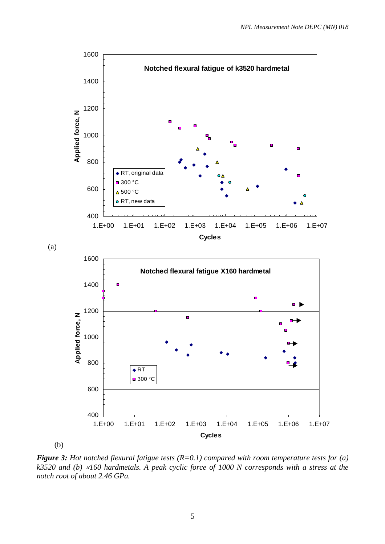

(b)

(a)

*Figure 3: Hot notched flexural fatigue tests (R=0.1) compared with room temperature tests for (a) k3520 and (b)* <sup>×</sup>*160 hardmetals. A peak cyclic force of 1000 N corresponds with a stress at the notch root of about 2.46 GPa.*